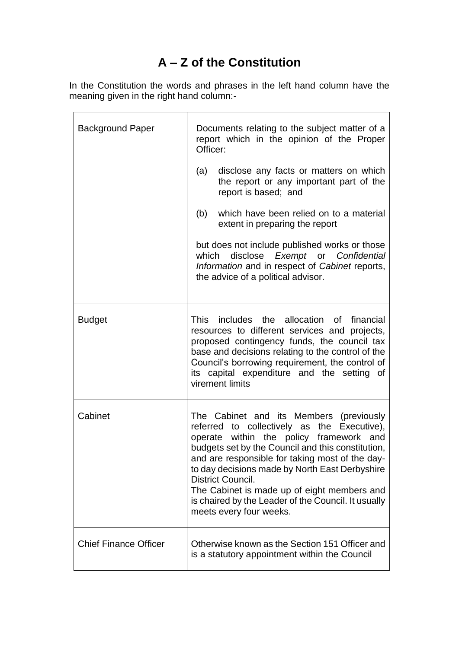## **A – Z of the Constitution**

In the Constitution the words and phrases in the left hand column have the meaning given in the right hand column:-

 $\overline{\phantom{a}}$ 

| <b>Background Paper</b>      | Documents relating to the subject matter of a<br>report which in the opinion of the Proper<br>Officer:                                                                                                                                                                                                                                                                                                                                            |  |  |
|------------------------------|---------------------------------------------------------------------------------------------------------------------------------------------------------------------------------------------------------------------------------------------------------------------------------------------------------------------------------------------------------------------------------------------------------------------------------------------------|--|--|
|                              | disclose any facts or matters on which<br>(a)<br>the report or any important part of the<br>report is based; and                                                                                                                                                                                                                                                                                                                                  |  |  |
|                              | which have been relied on to a material<br>(b)<br>extent in preparing the report                                                                                                                                                                                                                                                                                                                                                                  |  |  |
|                              | but does not include published works or those<br>which disclose Exempt or Confidential<br>Information and in respect of Cabinet reports,<br>the advice of a political advisor.                                                                                                                                                                                                                                                                    |  |  |
| <b>Budget</b>                | This includes the allocation of financial<br>resources to different services and projects,<br>proposed contingency funds, the council tax<br>base and decisions relating to the control of the<br>Council's borrowing requirement, the control of<br>its capital expenditure and the setting of<br>virement limits                                                                                                                                |  |  |
| Cabinet                      | The Cabinet and its Members (previously<br>referred to collectively as the Executive),<br>operate within the policy framework and<br>budgets set by the Council and this constitution,<br>and are responsible for taking most of the day-<br>to day decisions made by North East Derbyshire<br>District Council.<br>The Cabinet is made up of eight members and<br>is chaired by the Leader of the Council. It usually<br>meets every four weeks. |  |  |
| <b>Chief Finance Officer</b> | Otherwise known as the Section 151 Officer and<br>is a statutory appointment within the Council                                                                                                                                                                                                                                                                                                                                                   |  |  |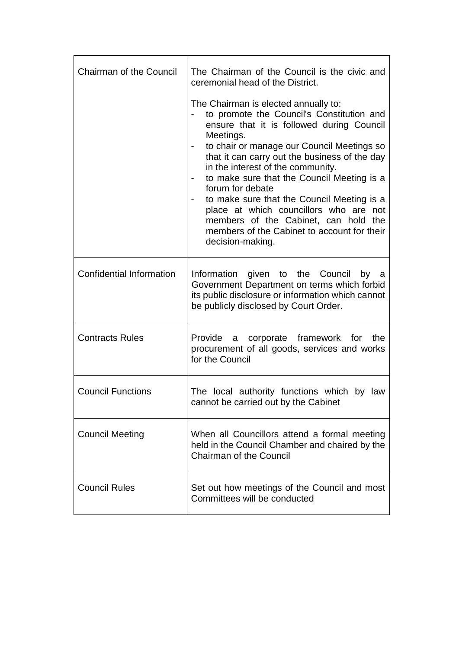| <b>Chairman of the Council</b>  | The Chairman of the Council is the civic and<br>ceremonial head of the District.                                                                                                                                                                                                                                                                                                                                                                                                                                                                     |  |
|---------------------------------|------------------------------------------------------------------------------------------------------------------------------------------------------------------------------------------------------------------------------------------------------------------------------------------------------------------------------------------------------------------------------------------------------------------------------------------------------------------------------------------------------------------------------------------------------|--|
|                                 | The Chairman is elected annually to:<br>to promote the Council's Constitution and<br>ensure that it is followed during Council<br>Meetings.<br>to chair or manage our Council Meetings so<br>that it can carry out the business of the day<br>in the interest of the community.<br>to make sure that the Council Meeting is a<br>forum for debate<br>to make sure that the Council Meeting is a<br>place at which councillors who are not<br>members of the Cabinet, can hold the<br>members of the Cabinet to account for their<br>decision-making. |  |
| <b>Confidential Information</b> | Information given to the Council by a<br>Government Department on terms which forbid<br>its public disclosure or information which cannot<br>be publicly disclosed by Court Order.                                                                                                                                                                                                                                                                                                                                                                   |  |
| <b>Contracts Rules</b>          | Provide a corporate framework for<br>the<br>procurement of all goods, services and works<br>for the Council                                                                                                                                                                                                                                                                                                                                                                                                                                          |  |
| <b>Council Functions</b>        | The local authority functions which by law<br>cannot be carried out by the Cabinet                                                                                                                                                                                                                                                                                                                                                                                                                                                                   |  |
| <b>Council Meeting</b>          | When all Councillors attend a formal meeting<br>held in the Council Chamber and chaired by the<br><b>Chairman of the Council</b>                                                                                                                                                                                                                                                                                                                                                                                                                     |  |
| <b>Council Rules</b>            | Set out how meetings of the Council and most<br>Committees will be conducted                                                                                                                                                                                                                                                                                                                                                                                                                                                                         |  |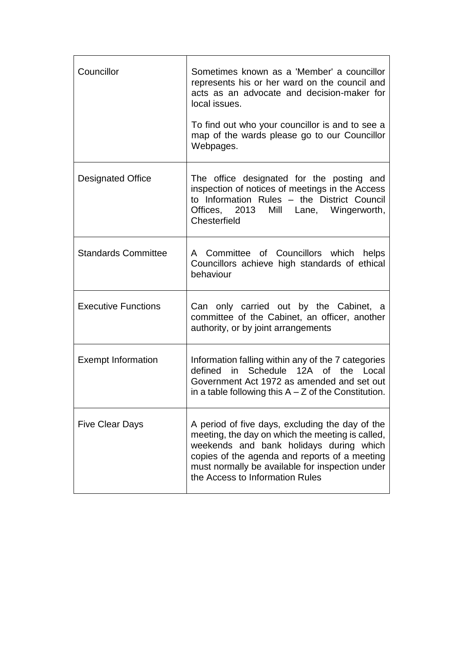| Councillor                 | Sometimes known as a 'Member' a councillor<br>represents his or her ward on the council and<br>acts as an advocate and decision-maker for<br>local issues.<br>To find out who your councillor is and to see a<br>map of the wards please go to our Councillor<br>Webpages.            |
|----------------------------|---------------------------------------------------------------------------------------------------------------------------------------------------------------------------------------------------------------------------------------------------------------------------------------|
|                            |                                                                                                                                                                                                                                                                                       |
| Designated Office          | The office designated for the posting and<br>inspection of notices of meetings in the Access<br>to Information Rules - the District Council<br>Offices, 2013 Mill Lane, Wingerworth,<br>Chesterfield                                                                                  |
| <b>Standards Committee</b> | A Committee of Councillors which helps<br>Councillors achieve high standards of ethical<br>behaviour                                                                                                                                                                                  |
| <b>Executive Functions</b> | Can only carried out by the Cabinet, a<br>committee of the Cabinet, an officer, another<br>authority, or by joint arrangements                                                                                                                                                        |
| <b>Exempt Information</b>  | Information falling within any of the 7 categories<br>12A of the Local<br>in Schedule<br>defined<br>Government Act 1972 as amended and set out<br>in a table following this $A - Z$ of the Constitution.                                                                              |
| <b>Five Clear Days</b>     | A period of five days, excluding the day of the<br>meeting, the day on which the meeting is called,<br>weekends and bank holidays during which<br>copies of the agenda and reports of a meeting<br>must normally be available for inspection under<br>the Access to Information Rules |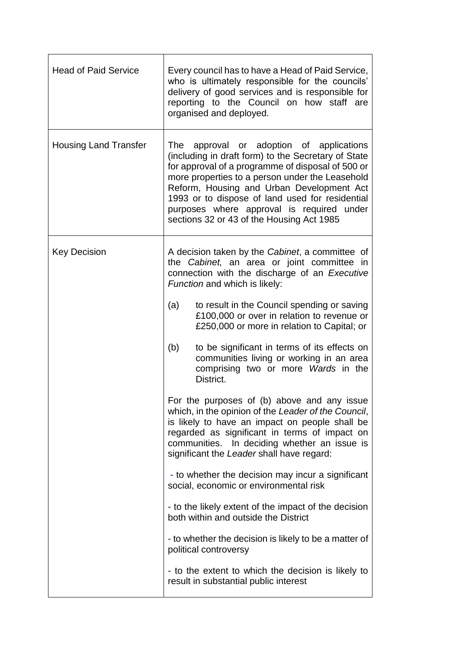| <b>Head of Paid Service</b>  | Every council has to have a Head of Paid Service,<br>who is ultimately responsible for the councils'<br>delivery of good services and is responsible for<br>reporting to the Council on how staff are<br>organised and deployed.                                                                                                                                                                     |  |
|------------------------------|------------------------------------------------------------------------------------------------------------------------------------------------------------------------------------------------------------------------------------------------------------------------------------------------------------------------------------------------------------------------------------------------------|--|
| <b>Housing Land Transfer</b> | approval or adoption of applications<br>The<br>(including in draft form) to the Secretary of State<br>for approval of a programme of disposal of 500 or<br>more properties to a person under the Leasehold<br>Reform, Housing and Urban Development Act<br>1993 or to dispose of land used for residential<br>purposes where approval is required under<br>sections 32 or 43 of the Housing Act 1985 |  |
| <b>Key Decision</b>          | A decision taken by the Cabinet, a committee of<br>the Cabinet, an area or joint committee in<br>connection with the discharge of an Executive<br>Function and which is likely:                                                                                                                                                                                                                      |  |
|                              | (a)<br>to result in the Council spending or saving<br>£100,000 or over in relation to revenue or<br>£250,000 or more in relation to Capital; or                                                                                                                                                                                                                                                      |  |
|                              | (b)<br>to be significant in terms of its effects on<br>communities living or working in an area<br>comprising two or more Wards in the<br>District.                                                                                                                                                                                                                                                  |  |
|                              | For the purposes of (b) above and any issue<br>which, in the opinion of the Leader of the Council,<br>is likely to have an impact on people shall be<br>regarded as significant in terms of impact on<br>communities. In deciding whether an issue is<br>significant the Leader shall have regard:                                                                                                   |  |
|                              | - to whether the decision may incur a significant<br>social, economic or environmental risk                                                                                                                                                                                                                                                                                                          |  |
|                              | - to the likely extent of the impact of the decision<br>both within and outside the District                                                                                                                                                                                                                                                                                                         |  |
|                              | - to whether the decision is likely to be a matter of<br>political controversy                                                                                                                                                                                                                                                                                                                       |  |
|                              | - to the extent to which the decision is likely to<br>result in substantial public interest                                                                                                                                                                                                                                                                                                          |  |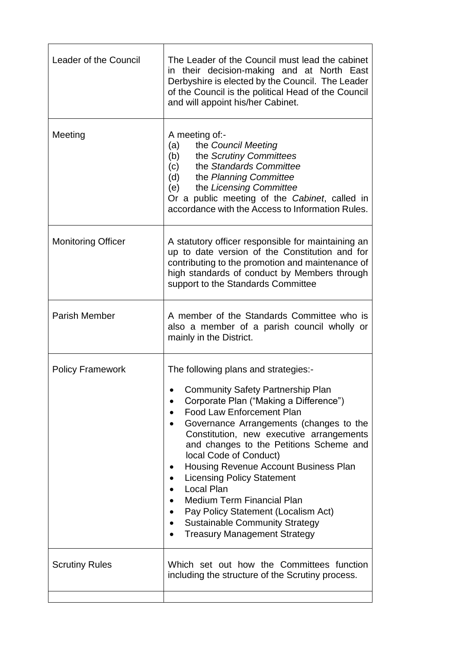| Leader of the Council     | The Leader of the Council must lead the cabinet<br>in their decision-making and at North East<br>Derbyshire is elected by the Council. The Leader<br>of the Council is the political Head of the Council<br>and will appoint his/her Cabinet.                                                                                                                                                                                                                                                                                                                                                                       |  |
|---------------------------|---------------------------------------------------------------------------------------------------------------------------------------------------------------------------------------------------------------------------------------------------------------------------------------------------------------------------------------------------------------------------------------------------------------------------------------------------------------------------------------------------------------------------------------------------------------------------------------------------------------------|--|
| Meeting                   | A meeting of:-<br>the Council Meeting<br>(a)<br>(b) the Scrutiny Committees<br>the Standards Committee<br>(c)<br>the Planning Committee<br>(d)<br>(e)<br>the Licensing Committee<br>Or a public meeting of the Cabinet, called in<br>accordance with the Access to Information Rules.                                                                                                                                                                                                                                                                                                                               |  |
| <b>Monitoring Officer</b> | A statutory officer responsible for maintaining an<br>up to date version of the Constitution and for<br>contributing to the promotion and maintenance of<br>high standards of conduct by Members through<br>support to the Standards Committee                                                                                                                                                                                                                                                                                                                                                                      |  |
| <b>Parish Member</b>      | A member of the Standards Committee who is<br>also a member of a parish council wholly or<br>mainly in the District.                                                                                                                                                                                                                                                                                                                                                                                                                                                                                                |  |
| <b>Policy Framework</b>   | The following plans and strategies:-<br><b>Community Safety Partnership Plan</b><br>Corporate Plan ("Making a Difference")<br><b>Food Law Enforcement Plan</b><br>Governance Arrangements (changes to the<br>Constitution, new executive arrangements<br>and changes to the Petitions Scheme and<br>local Code of Conduct)<br>Housing Revenue Account Business Plan<br><b>Licensing Policy Statement</b><br><b>Local Plan</b><br><b>Medium Term Financial Plan</b><br>Pay Policy Statement (Localism Act)<br>$\bullet$<br><b>Sustainable Community Strategy</b><br><b>Treasury Management Strategy</b><br>$\bullet$ |  |
| <b>Scrutiny Rules</b>     | Which set out how the Committees function<br>including the structure of the Scrutiny process.                                                                                                                                                                                                                                                                                                                                                                                                                                                                                                                       |  |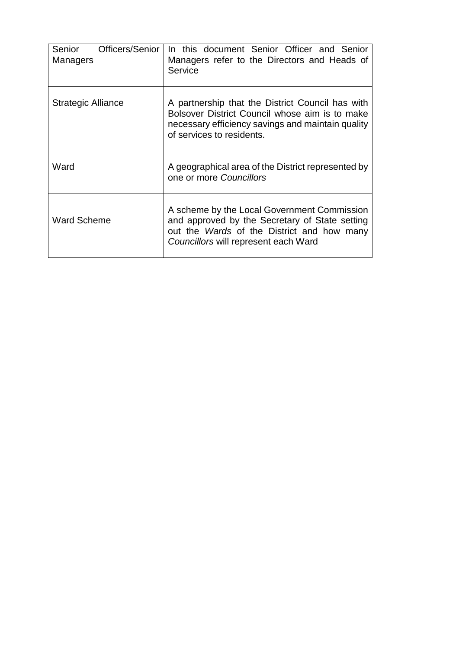| Officers/Senior  <br>Senior<br>Managers | In this document Senior Officer and Senior<br>Managers refer to the Directors and Heads of<br>Service                                                                                      |  |
|-----------------------------------------|--------------------------------------------------------------------------------------------------------------------------------------------------------------------------------------------|--|
| Strategic Alliance                      | A partnership that the District Council has with<br>Bolsover District Council whose aim is to make<br>necessary efficiency savings and maintain quality<br>of services to residents.       |  |
| Ward                                    | A geographical area of the District represented by<br>one or more Councillors                                                                                                              |  |
| <b>Ward Scheme</b>                      | A scheme by the Local Government Commission<br>and approved by the Secretary of State setting<br>out the <i>Wards</i> of the District and how many<br>Councillors will represent each Ward |  |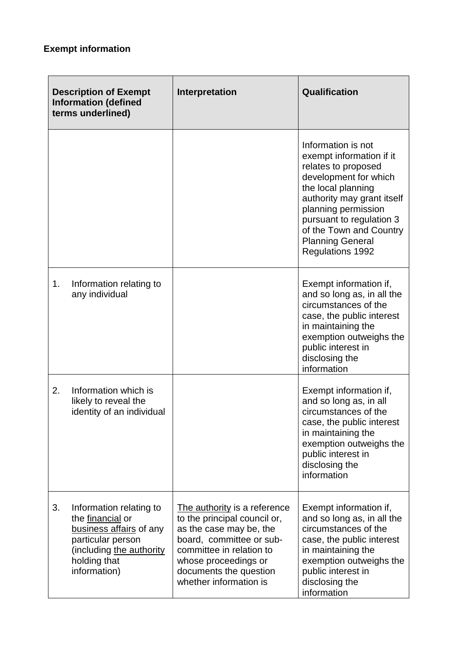| <b>Description of Exempt</b><br><b>Information (defined</b><br>terms underlined) |                                                                                                                                                         | Interpretation                                                                                                                                                                                                              | Qualification                                                                                                                                                                                                                                                                          |
|----------------------------------------------------------------------------------|---------------------------------------------------------------------------------------------------------------------------------------------------------|-----------------------------------------------------------------------------------------------------------------------------------------------------------------------------------------------------------------------------|----------------------------------------------------------------------------------------------------------------------------------------------------------------------------------------------------------------------------------------------------------------------------------------|
|                                                                                  |                                                                                                                                                         |                                                                                                                                                                                                                             | Information is not<br>exempt information if it<br>relates to proposed<br>development for which<br>the local planning<br>authority may grant itself<br>planning permission<br>pursuant to regulation 3<br>of the Town and Country<br><b>Planning General</b><br><b>Regulations 1992</b> |
| 1.                                                                               | Information relating to<br>any individual                                                                                                               |                                                                                                                                                                                                                             | Exempt information if,<br>and so long as, in all the<br>circumstances of the<br>case, the public interest<br>in maintaining the<br>exemption outweighs the<br>public interest in<br>disclosing the<br>information                                                                      |
| 2.                                                                               | Information which is<br>likely to reveal the<br>identity of an individual                                                                               |                                                                                                                                                                                                                             | Exempt information if,<br>and so long as, in all<br>circumstances of the<br>case, the public interest<br>in maintaining the<br>exemption outweighs the<br>public interest in<br>disclosing the<br>information                                                                          |
| 3.                                                                               | Information relating to<br>the financial or<br>business affairs of any<br>particular person<br>(including the authority<br>holding that<br>information) | The authority is a reference<br>to the principal council or,<br>as the case may be, the<br>board, committee or sub-<br>committee in relation to<br>whose proceedings or<br>documents the question<br>whether information is | Exempt information if,<br>and so long as, in all the<br>circumstances of the<br>case, the public interest<br>in maintaining the<br>exemption outweighs the<br>public interest in<br>disclosing the<br>information                                                                      |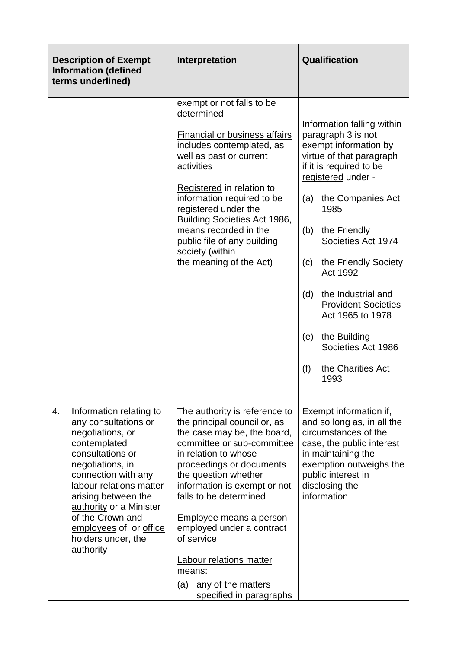| <b>Description of Exempt</b><br><b>Information (defined</b><br>terms underlined)                                                                                                                                                                                                                                        | Interpretation                                                                                                                                                                                                                                                                                                                                                                                                                                    | Qualification                                                                                                                                                                                                                                                                                                                                                                                                                                             |
|-------------------------------------------------------------------------------------------------------------------------------------------------------------------------------------------------------------------------------------------------------------------------------------------------------------------------|---------------------------------------------------------------------------------------------------------------------------------------------------------------------------------------------------------------------------------------------------------------------------------------------------------------------------------------------------------------------------------------------------------------------------------------------------|-----------------------------------------------------------------------------------------------------------------------------------------------------------------------------------------------------------------------------------------------------------------------------------------------------------------------------------------------------------------------------------------------------------------------------------------------------------|
|                                                                                                                                                                                                                                                                                                                         | exempt or not falls to be<br>determined<br><b>Financial or business affairs</b><br>includes contemplated, as<br>well as past or current<br>activities<br>Registered in relation to<br>information required to be<br>registered under the<br>Building Societies Act 1986,<br>means recorded in the<br>public file of any building<br>society (within<br>the meaning of the Act)                                                                    | Information falling within<br>paragraph 3 is not<br>exempt information by<br>virtue of that paragraph<br>if it is required to be<br>registered under -<br>the Companies Act<br>(a)<br>1985<br>(b)<br>the Friendly<br>Societies Act 1974<br>the Friendly Society<br>(c)<br><b>Act 1992</b><br>the Industrial and<br>(d)<br><b>Provident Societies</b><br>Act 1965 to 1978<br>the Building<br>(e)<br>Societies Act 1986<br>the Charities Act<br>(f)<br>1993 |
| Information relating to<br>4.<br>any consultations or<br>negotiations, or<br>contemplated<br>consultations or<br>negotiations, in<br>connection with any<br>labour relations matter<br>arising between the<br>authority or a Minister<br>of the Crown and<br>employees of, or office<br>holders under, the<br>authority | The authority is reference to<br>the principal council or, as<br>the case may be, the board,<br>committee or sub-committee<br>in relation to whose<br>proceedings or documents<br>the question whether<br>information is exempt or not<br>falls to be determined<br><b>Employee</b> means a person<br>employed under a contract<br>of service<br><b>Labour relations matter</b><br>means:<br>any of the matters<br>(a)<br>specified in paragraphs | Exempt information if,<br>and so long as, in all the<br>circumstances of the<br>case, the public interest<br>in maintaining the<br>exemption outweighs the<br>public interest in<br>disclosing the<br>information                                                                                                                                                                                                                                         |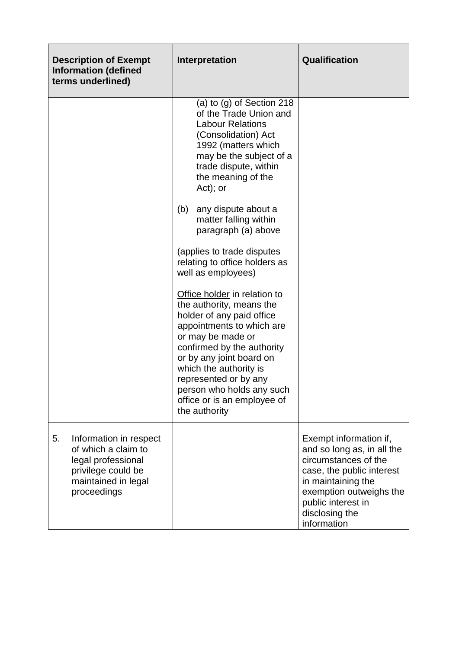|    | <b>Description of Exempt</b><br><b>Information (defined</b><br>terms underlined)                                                | Interpretation                                                                                                                                                                                                                                                               | Qualification                                                                                                                                                                                                     |
|----|---------------------------------------------------------------------------------------------------------------------------------|------------------------------------------------------------------------------------------------------------------------------------------------------------------------------------------------------------------------------------------------------------------------------|-------------------------------------------------------------------------------------------------------------------------------------------------------------------------------------------------------------------|
|    |                                                                                                                                 | (a) to (g) of Section 218<br>of the Trade Union and<br><b>Labour Relations</b><br>(Consolidation) Act<br>1992 (matters which<br>may be the subject of a<br>trade dispute, within<br>the meaning of the<br>$Act)$ ; or<br>(b)<br>any dispute about a<br>matter falling within |                                                                                                                                                                                                                   |
|    |                                                                                                                                 | paragraph (a) above<br>(applies to trade disputes<br>relating to office holders as<br>well as employees)<br>Office holder in relation to<br>the authority, means the<br>holder of any paid office                                                                            |                                                                                                                                                                                                                   |
|    |                                                                                                                                 | appointments to which are<br>or may be made or<br>confirmed by the authority<br>or by any joint board on<br>which the authority is<br>represented or by any<br>person who holds any such<br>office or is an employee of<br>the authority                                     |                                                                                                                                                                                                                   |
| 5. | Information in respect<br>of which a claim to<br>legal professional<br>privilege could be<br>maintained in legal<br>proceedings |                                                                                                                                                                                                                                                                              | Exempt information if,<br>and so long as, in all the<br>circumstances of the<br>case, the public interest<br>in maintaining the<br>exemption outweighs the<br>public interest in<br>disclosing the<br>information |